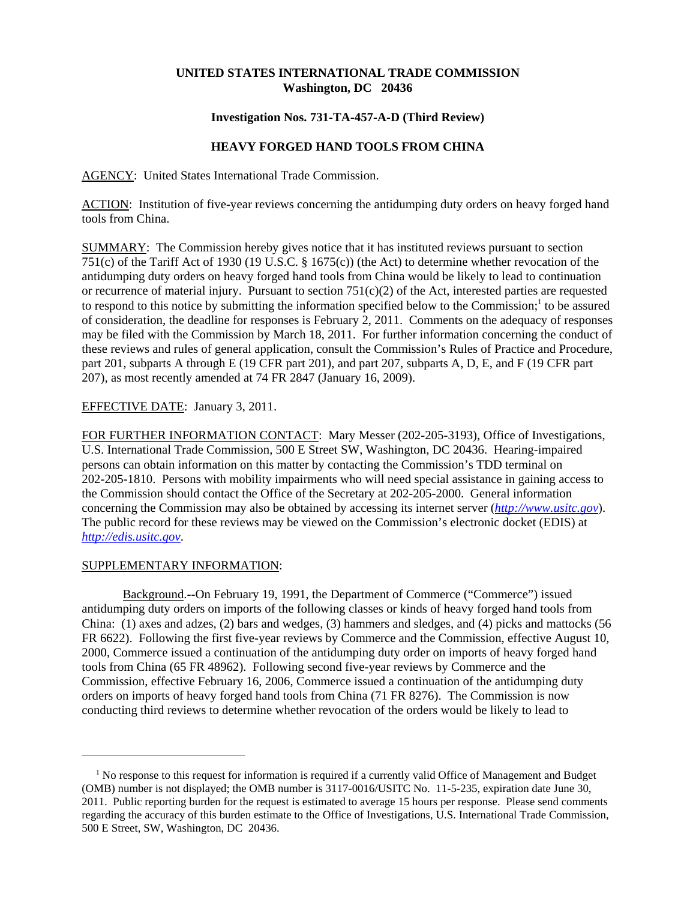## **UNITED STATES INTERNATIONAL TRADE COMMISSION Washington, DC 20436**

### **Investigation Nos. 731-TA-457-A-D (Third Review)**

# **HEAVY FORGED HAND TOOLS FROM CHINA**

AGENCY: United States International Trade Commission.

ACTION: Institution of five-year reviews concerning the antidumping duty orders on heavy forged hand tools from China.

SUMMARY: The Commission hereby gives notice that it has instituted reviews pursuant to section 751(c) of the Tariff Act of 1930 (19 U.S.C. § 1675(c)) (the Act) to determine whether revocation of the antidumping duty orders on heavy forged hand tools from China would be likely to lead to continuation or recurrence of material injury. Pursuant to section  $751(c)(2)$  of the Act, interested parties are requested to respond to this notice by submitting the information specified below to the Commission;<sup>1</sup> to be assured of consideration, the deadline for responses is February 2, 2011. Comments on the adequacy of responses may be filed with the Commission by March 18, 2011. For further information concerning the conduct of these reviews and rules of general application, consult the Commission's Rules of Practice and Procedure, part 201, subparts A through E (19 CFR part 201), and part 207, subparts A, D, E, and F (19 CFR part 207), as most recently amended at 74 FR 2847 (January 16, 2009).

## EFFECTIVE DATE: January 3, 2011.

FOR FURTHER INFORMATION CONTACT: Mary Messer (202-205-3193), Office of Investigations, U.S. International Trade Commission, 500 E Street SW, Washington, DC 20436. Hearing-impaired persons can obtain information on this matter by contacting the Commission's TDD terminal on 202-205-1810. Persons with mobility impairments who will need special assistance in gaining access to the Commission should contact the Office of the Secretary at 202-205-2000. General information concerning the Commission may also be obtained by accessing its internet server (*http://www.usitc.gov*). The public record for these reviews may be viewed on the Commission's electronic docket (EDIS) at *http://edis.usitc.gov*.

#### SUPPLEMENTARY INFORMATION:

Background.--On February 19, 1991, the Department of Commerce ("Commerce") issued antidumping duty orders on imports of the following classes or kinds of heavy forged hand tools from China: (1) axes and adzes, (2) bars and wedges, (3) hammers and sledges, and (4) picks and mattocks (56 FR 6622). Following the first five-year reviews by Commerce and the Commission, effective August 10. 2000, Commerce issued a continuation of the antidumping duty order on imports of heavy forged hand tools from China (65 FR 48962). Following second five-year reviews by Commerce and the Commission, effective February 16, 2006, Commerce issued a continuation of the antidumping duty orders on imports of heavy forged hand tools from China (71 FR 8276). The Commission is now conducting third reviews to determine whether revocation of the orders would be likely to lead to

<sup>&</sup>lt;sup>1</sup> No response to this request for information is required if a currently valid Office of Management and Budget (OMB) number is not displayed; the OMB number is 3117-0016/USITC No. 11-5-235, expiration date June 30, 2011. Public reporting burden for the request is estimated to average 15 hours per response. Please send comments regarding the accuracy of this burden estimate to the Office of Investigations, U.S. International Trade Commission, 500 E Street, SW, Washington, DC 20436.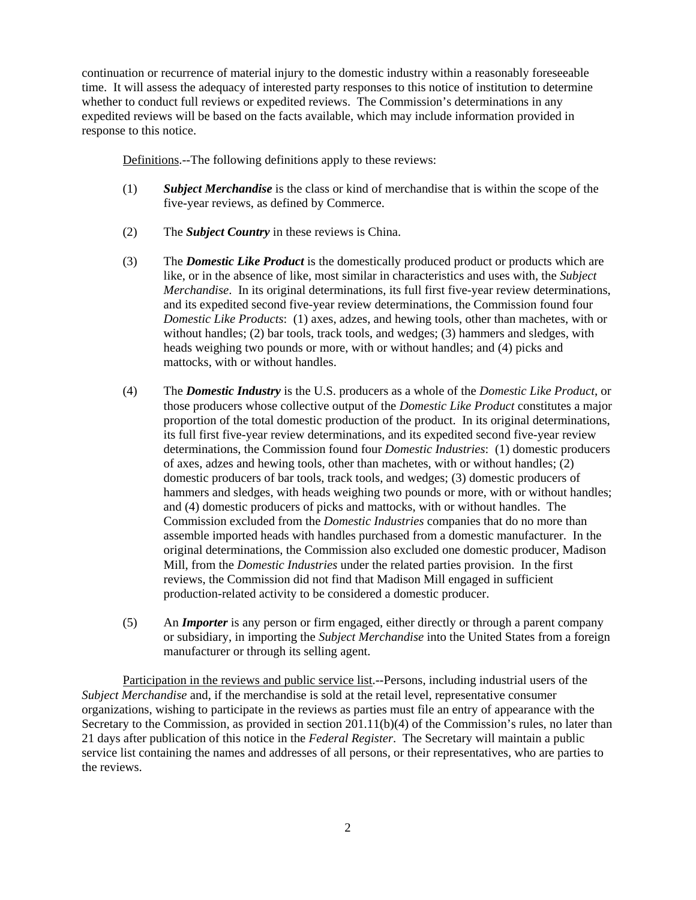continuation or recurrence of material injury to the domestic industry within a reasonably foreseeable time. It will assess the adequacy of interested party responses to this notice of institution to determine whether to conduct full reviews or expedited reviews. The Commission's determinations in any expedited reviews will be based on the facts available, which may include information provided in response to this notice.

Definitions.--The following definitions apply to these reviews:

- (1) *Subject Merchandise* is the class or kind of merchandise that is within the scope of the five-year reviews, as defined by Commerce.
- (2) The *Subject Country* in these reviews is China.
- (3) The *Domestic Like Product* is the domestically produced product or products which are like, or in the absence of like, most similar in characteristics and uses with, the *Subject Merchandise*. In its original determinations, its full first five-year review determinations, and its expedited second five-year review determinations, the Commission found four *Domestic Like Products*: (1) axes, adzes, and hewing tools, other than machetes, with or without handles; (2) bar tools, track tools, and wedges; (3) hammers and sledges, with heads weighing two pounds or more, with or without handles; and (4) picks and mattocks, with or without handles.
- (4) The *Domestic Industry* is the U.S. producers as a whole of the *Domestic Like Product*, or those producers whose collective output of the *Domestic Like Product* constitutes a major proportion of the total domestic production of the product. In its original determinations, its full first five-year review determinations, and its expedited second five-year review determinations, the Commission found four *Domestic Industries*: (1) domestic producers of axes, adzes and hewing tools, other than machetes, with or without handles; (2) domestic producers of bar tools, track tools, and wedges; (3) domestic producers of hammers and sledges, with heads weighing two pounds or more, with or without handles; and (4) domestic producers of picks and mattocks, with or without handles. The Commission excluded from the *Domestic Industries* companies that do no more than assemble imported heads with handles purchased from a domestic manufacturer. In the original determinations, the Commission also excluded one domestic producer, Madison Mill, from the *Domestic Industries* under the related parties provision. In the first reviews, the Commission did not find that Madison Mill engaged in sufficient production-related activity to be considered a domestic producer.
- (5) An *Importer* is any person or firm engaged, either directly or through a parent company or subsidiary, in importing the *Subject Merchandise* into the United States from a foreign manufacturer or through its selling agent.

Participation in the reviews and public service list.--Persons, including industrial users of the *Subject Merchandise* and, if the merchandise is sold at the retail level, representative consumer organizations, wishing to participate in the reviews as parties must file an entry of appearance with the Secretary to the Commission, as provided in section 201.11(b)(4) of the Commission's rules, no later than 21 days after publication of this notice in the *Federal Register*. The Secretary will maintain a public service list containing the names and addresses of all persons, or their representatives, who are parties to the reviews.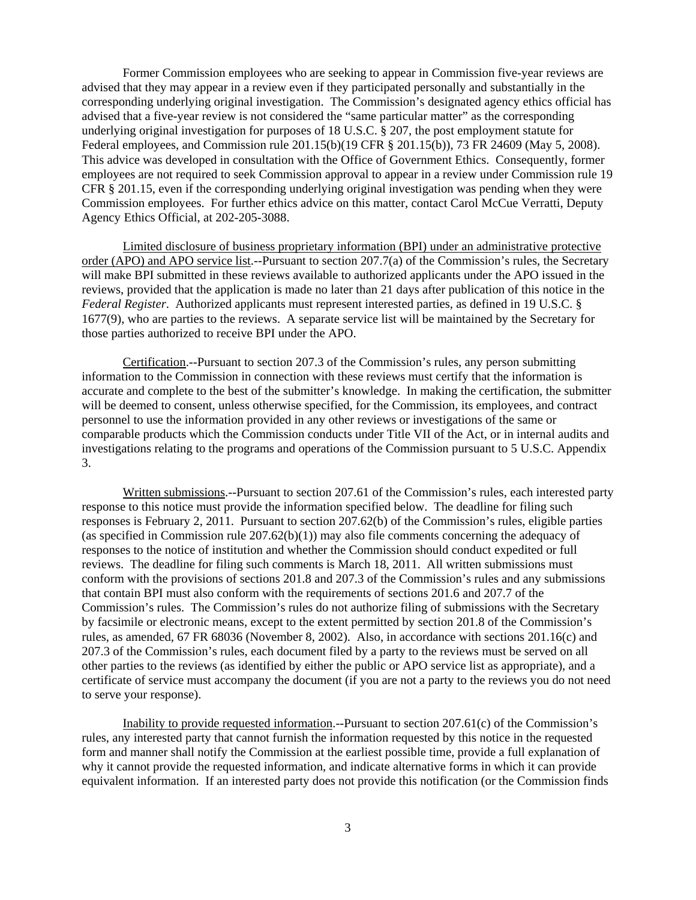Former Commission employees who are seeking to appear in Commission five-year reviews are advised that they may appear in a review even if they participated personally and substantially in the corresponding underlying original investigation. The Commission's designated agency ethics official has advised that a five-year review is not considered the "same particular matter" as the corresponding underlying original investigation for purposes of 18 U.S.C. § 207, the post employment statute for Federal employees, and Commission rule 201.15(b)(19 CFR § 201.15(b)), 73 FR 24609 (May 5, 2008). This advice was developed in consultation with the Office of Government Ethics. Consequently, former employees are not required to seek Commission approval to appear in a review under Commission rule 19 CFR § 201.15, even if the corresponding underlying original investigation was pending when they were Commission employees. For further ethics advice on this matter, contact Carol McCue Verratti, Deputy Agency Ethics Official, at 202-205-3088.

Limited disclosure of business proprietary information (BPI) under an administrative protective order (APO) and APO service list.--Pursuant to section 207.7(a) of the Commission's rules, the Secretary will make BPI submitted in these reviews available to authorized applicants under the APO issued in the reviews, provided that the application is made no later than 21 days after publication of this notice in the *Federal Register*. Authorized applicants must represent interested parties, as defined in 19 U.S.C. § 1677(9), who are parties to the reviews. A separate service list will be maintained by the Secretary for those parties authorized to receive BPI under the APO.

Certification.--Pursuant to section 207.3 of the Commission's rules, any person submitting information to the Commission in connection with these reviews must certify that the information is accurate and complete to the best of the submitter's knowledge. In making the certification, the submitter will be deemed to consent, unless otherwise specified, for the Commission, its employees, and contract personnel to use the information provided in any other reviews or investigations of the same or comparable products which the Commission conducts under Title VII of the Act, or in internal audits and investigations relating to the programs and operations of the Commission pursuant to 5 U.S.C. Appendix 3.

Written submissions.--Pursuant to section 207.61 of the Commission's rules, each interested party response to this notice must provide the information specified below. The deadline for filing such responses is February 2, 2011. Pursuant to section 207.62(b) of the Commission's rules, eligible parties (as specified in Commission rule 207.62(b)(1)) may also file comments concerning the adequacy of responses to the notice of institution and whether the Commission should conduct expedited or full reviews. The deadline for filing such comments is March 18, 2011. All written submissions must conform with the provisions of sections 201.8 and 207.3 of the Commission's rules and any submissions that contain BPI must also conform with the requirements of sections 201.6 and 207.7 of the Commission's rules. The Commission's rules do not authorize filing of submissions with the Secretary by facsimile or electronic means, except to the extent permitted by section 201.8 of the Commission's rules, as amended, 67 FR 68036 (November 8, 2002). Also, in accordance with sections 201.16(c) and 207.3 of the Commission's rules, each document filed by a party to the reviews must be served on all other parties to the reviews (as identified by either the public or APO service list as appropriate), and a certificate of service must accompany the document (if you are not a party to the reviews you do not need to serve your response).

Inability to provide requested information.--Pursuant to section 207.61(c) of the Commission's rules, any interested party that cannot furnish the information requested by this notice in the requested form and manner shall notify the Commission at the earliest possible time, provide a full explanation of why it cannot provide the requested information, and indicate alternative forms in which it can provide equivalent information. If an interested party does not provide this notification (or the Commission finds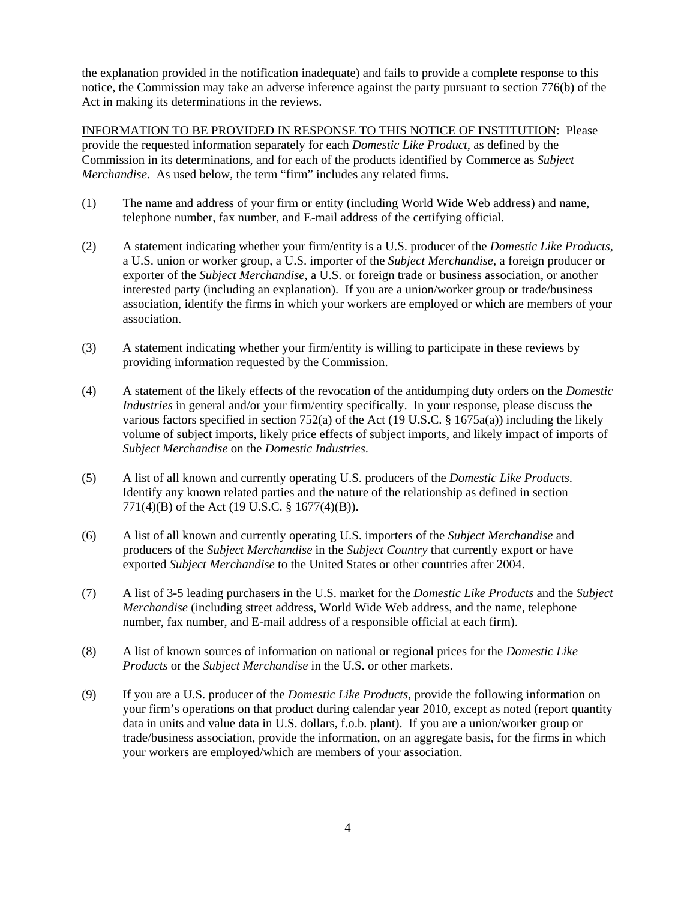the explanation provided in the notification inadequate) and fails to provide a complete response to this notice, the Commission may take an adverse inference against the party pursuant to section 776(b) of the Act in making its determinations in the reviews.

INFORMATION TO BE PROVIDED IN RESPONSE TO THIS NOTICE OF INSTITUTION: Please provide the requested information separately for each *Domestic Like Product*, as defined by the Commission in its determinations, and for each of the products identified by Commerce as *Subject Merchandise*. As used below, the term "firm" includes any related firms.

- (1) The name and address of your firm or entity (including World Wide Web address) and name, telephone number, fax number, and E-mail address of the certifying official.
- (2) A statement indicating whether your firm/entity is a U.S. producer of the *Domestic Like Products*, a U.S. union or worker group, a U.S. importer of the *Subject Merchandise*, a foreign producer or exporter of the *Subject Merchandise*, a U.S. or foreign trade or business association, or another interested party (including an explanation). If you are a union/worker group or trade/business association, identify the firms in which your workers are employed or which are members of your association.
- (3) A statement indicating whether your firm/entity is willing to participate in these reviews by providing information requested by the Commission.
- (4) A statement of the likely effects of the revocation of the antidumping duty orders on the *Domestic Industries* in general and/or your firm/entity specifically. In your response, please discuss the various factors specified in section 752(a) of the Act (19 U.S.C. § 1675a(a)) including the likely volume of subject imports, likely price effects of subject imports, and likely impact of imports of *Subject Merchandise* on the *Domestic Industries*.
- (5) A list of all known and currently operating U.S. producers of the *Domestic Like Products*. Identify any known related parties and the nature of the relationship as defined in section 771(4)(B) of the Act (19 U.S.C. § 1677(4)(B)).
- (6) A list of all known and currently operating U.S. importers of the *Subject Merchandise* and producers of the *Subject Merchandise* in the *Subject Country* that currently export or have exported *Subject Merchandise* to the United States or other countries after 2004.
- (7) A list of 3-5 leading purchasers in the U.S. market for the *Domestic Like Products* and the *Subject Merchandise* (including street address, World Wide Web address, and the name, telephone number, fax number, and E-mail address of a responsible official at each firm).
- (8) A list of known sources of information on national or regional prices for the *Domestic Like Products* or the *Subject Merchandise* in the U.S. or other markets.
- (9) If you are a U.S. producer of the *Domestic Like Products*, provide the following information on your firm's operations on that product during calendar year 2010, except as noted (report quantity data in units and value data in U.S. dollars, f.o.b. plant). If you are a union/worker group or trade/business association, provide the information, on an aggregate basis, for the firms in which your workers are employed/which are members of your association.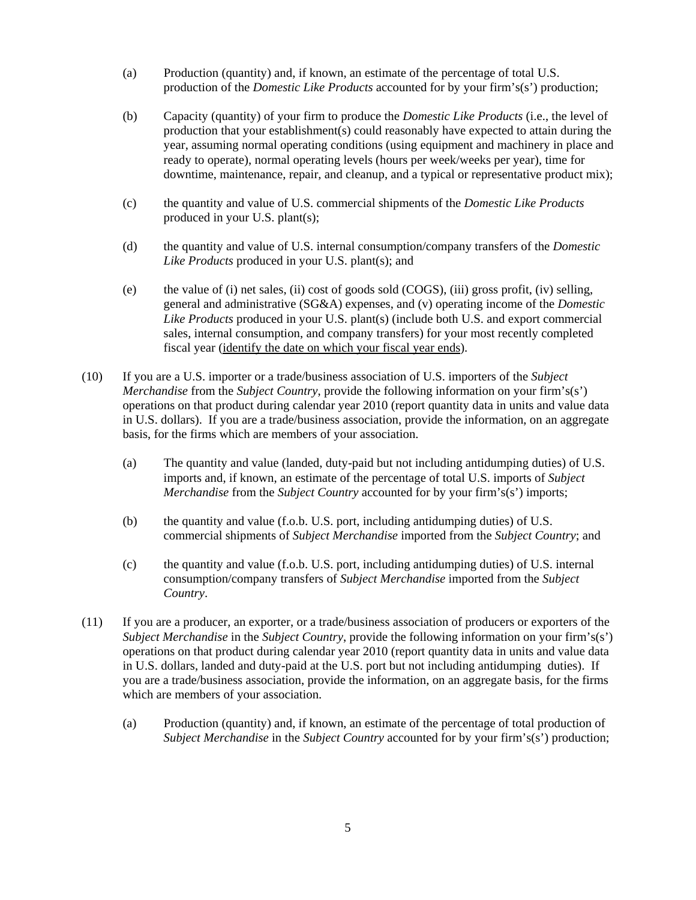- (a) Production (quantity) and, if known, an estimate of the percentage of total U.S. production of the *Domestic Like Products* accounted for by your firm's(s') production;
- (b) Capacity (quantity) of your firm to produce the *Domestic Like Products* (i.e., the level of production that your establishment(s) could reasonably have expected to attain during the year, assuming normal operating conditions (using equipment and machinery in place and ready to operate), normal operating levels (hours per week/weeks per year), time for downtime, maintenance, repair, and cleanup, and a typical or representative product mix);
- (c) the quantity and value of U.S. commercial shipments of the *Domestic Like Products* produced in your U.S. plant(s);
- (d) the quantity and value of U.S. internal consumption/company transfers of the *Domestic Like Products* produced in your U.S. plant(s); and
- (e) the value of (i) net sales, (ii) cost of goods sold (COGS), (iii) gross profit, (iv) selling, general and administrative (SG&A) expenses, and (v) operating income of the *Domestic Like Products* produced in your U.S. plant(s) (include both U.S. and export commercial sales, internal consumption, and company transfers) for your most recently completed fiscal year (identify the date on which your fiscal year ends).
- (10) If you are a U.S. importer or a trade/business association of U.S. importers of the *Subject Merchandise* from the *Subject Country*, provide the following information on your firm's(s') operations on that product during calendar year 2010 (report quantity data in units and value data in U.S. dollars). If you are a trade/business association, provide the information, on an aggregate basis, for the firms which are members of your association.
	- (a) The quantity and value (landed, duty-paid but not including antidumping duties) of U.S. imports and, if known, an estimate of the percentage of total U.S. imports of *Subject Merchandise* from the *Subject Country* accounted for by your firm's(s') imports;
	- (b) the quantity and value (f.o.b. U.S. port, including antidumping duties) of U.S. commercial shipments of *Subject Merchandise* imported from the *Subject Country*; and
	- (c) the quantity and value (f.o.b. U.S. port, including antidumping duties) of U.S. internal consumption/company transfers of *Subject Merchandise* imported from the *Subject Country*.
- (11) If you are a producer, an exporter, or a trade/business association of producers or exporters of the *Subject Merchandise* in the *Subject Country*, provide the following information on your firm's(s') operations on that product during calendar year 2010 (report quantity data in units and value data in U.S. dollars, landed and duty-paid at the U.S. port but not including antidumping duties). If you are a trade/business association, provide the information, on an aggregate basis, for the firms which are members of your association.
	- (a) Production (quantity) and, if known, an estimate of the percentage of total production of *Subject Merchandise* in the *Subject Country* accounted for by your firm's(s') production;